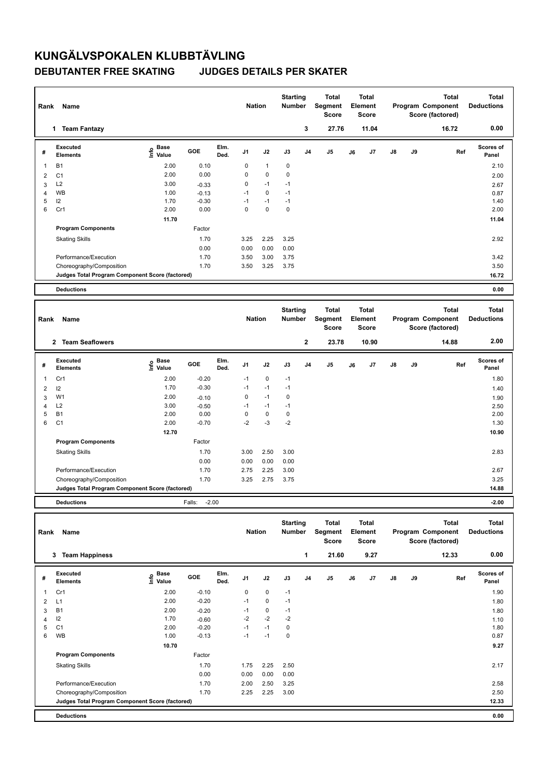## **KUNGÄLVSPOKALEN KLUBBTÄVLING DEBUTANTER FREE SKATING JUDGES DETAILS PER SKATER**

| Rank           | Name                                            |                            |         |              | <b>Nation</b>  |              | <b>Starting</b><br><b>Number</b> |                | <b>Total</b><br>Segment<br><b>Score</b> |    | <b>Total</b><br>Element<br><b>Score</b> |    |    | <b>Total</b><br>Program Component<br>Score (factored) | <b>Total</b><br><b>Deductions</b> |
|----------------|-------------------------------------------------|----------------------------|---------|--------------|----------------|--------------|----------------------------------|----------------|-----------------------------------------|----|-----------------------------------------|----|----|-------------------------------------------------------|-----------------------------------|
|                | 1 Team Fantazy                                  |                            |         |              |                |              |                                  | 3              | 27.76                                   |    | 11.04                                   |    |    | 16.72                                                 | 0.00                              |
| #              | Executed<br><b>Elements</b>                     | <b>Base</b><br>۴٥<br>Value | GOE     | Elm.<br>Ded. | J <sub>1</sub> | J2           | J3                               | J <sub>4</sub> | J <sub>5</sub>                          | J6 | J7                                      | J8 | J9 | Ref                                                   | Scores of<br>Panel                |
| $\mathbf{1}$   | <b>B1</b>                                       | 2.00                       | 0.10    |              | 0              | $\mathbf{1}$ | 0                                |                |                                         |    |                                         |    |    |                                                       | 2.10                              |
| $\overline{2}$ | C <sub>1</sub>                                  | 2.00                       | 0.00    |              | 0              | $\mathbf 0$  | 0                                |                |                                         |    |                                         |    |    |                                                       | 2.00                              |
| 3              | L2                                              | 3.00                       | $-0.33$ |              | 0              | $-1$         | $-1$                             |                |                                         |    |                                         |    |    |                                                       | 2.67                              |
| $\overline{4}$ | <b>WB</b>                                       | 1.00                       | $-0.13$ |              | $-1$           | $\mathbf 0$  | $-1$                             |                |                                         |    |                                         |    |    |                                                       | 0.87                              |
| 5              | 12                                              | 1.70                       | $-0.30$ |              | $-1$           | $-1$         | $-1$                             |                |                                         |    |                                         |    |    |                                                       | 1.40                              |
| 6              | Cr1                                             | 2.00                       | 0.00    |              | $\mathbf 0$    | 0            | $\pmb{0}$                        |                |                                         |    |                                         |    |    |                                                       | 2.00                              |
|                |                                                 | 11.70                      |         |              |                |              |                                  |                |                                         |    |                                         |    |    |                                                       | 11.04                             |
|                | <b>Program Components</b>                       |                            | Factor  |              |                |              |                                  |                |                                         |    |                                         |    |    |                                                       |                                   |
|                | <b>Skating Skills</b>                           |                            | 1.70    |              | 3.25           | 2.25         | 3.25                             |                |                                         |    |                                         |    |    |                                                       | 2.92                              |
|                |                                                 |                            | 0.00    |              | 0.00           | 0.00         | 0.00                             |                |                                         |    |                                         |    |    |                                                       |                                   |
|                | Performance/Execution                           |                            | 1.70    |              | 3.50           | 3.00         | 3.75                             |                |                                         |    |                                         |    |    |                                                       | 3.42                              |
|                | Choreography/Composition                        |                            | 1.70    |              | 3.50           | 3.25         | 3.75                             |                |                                         |    |                                         |    |    |                                                       | 3.50                              |
|                | Judges Total Program Component Score (factored) |                            |         |              |                |              |                                  |                |                                         |    |                                         |    |    |                                                       | 16.72                             |
|                |                                                 |                            |         |              |                |              |                                  |                |                                         |    |                                         |    |    |                                                       |                                   |
|                | <b>Deductions</b>                               |                            |         |              |                |              |                                  |                |                                         |    |                                         |    |    |                                                       | 0.00                              |
|                |                                                 |                            |         |              |                |              |                                  |                |                                         |    |                                         |    |    |                                                       |                                   |
| Rank           | Name                                            |                            |         |              | <b>Nation</b>  |              | <b>Starting</b><br>Number        |                | <b>Total</b><br><b>Segment</b><br>Score |    | Total<br>Element<br><b>Score</b>        |    |    | <b>Total</b><br>Program Component<br>Score (factored) | <b>Total</b><br><b>Deductions</b> |
|                | 2 Team Seaflowers                               |                            |         |              |                |              |                                  | $\mathbf 2$    | 23.78                                   |    | 10.90                                   |    |    | 14.88                                                 | 2.00                              |
| #              | Executed<br><b>Elements</b>                     | <b>Base</b><br>١m<br>Value | GOE     | Elm.<br>Ded. | J <sub>1</sub> | J2           | J3                               | J <sub>4</sub> | J <sub>5</sub>                          | J6 | J7                                      | J8 | J9 | Ref                                                   | <b>Scores of</b><br>Panel         |
| $\mathbf{1}$   | Cr1                                             | 2.00                       | $-0.20$ |              | $-1$           | $\mathbf 0$  | $-1$                             |                |                                         |    |                                         |    |    |                                                       | 1.80                              |
| 2              | 12                                              | 1.70                       | $-0.30$ |              | $-1$           | $-1$         | $-1$                             |                |                                         |    |                                         |    |    |                                                       | 1.40                              |
| 3              | W <sub>1</sub>                                  | 2.00                       | $-0.10$ |              | 0              | $-1$         | 0                                |                |                                         |    |                                         |    |    |                                                       | 1.90                              |
| 4              | L2                                              | 3.00                       | $-0.50$ |              | $-1$           | $-1$         | $-1$                             |                |                                         |    |                                         |    |    |                                                       | 2.50                              |
| 5              | <b>B1</b>                                       | 2.00                       | 0.00    |              | 0              | $\mathbf 0$  | $\pmb{0}$                        |                |                                         |    |                                         |    |    |                                                       | 2.00                              |
| 6              | C <sub>1</sub>                                  | 2.00                       | $-0.70$ |              | $-2$           | $-3$         | $-2$                             |                |                                         |    |                                         |    |    |                                                       | 1.30                              |
|                |                                                 | 12.70                      |         |              |                |              |                                  |                |                                         |    |                                         |    |    |                                                       | 10.90                             |
|                | <b>Program Components</b>                       |                            | Factor  |              |                |              |                                  |                |                                         |    |                                         |    |    |                                                       |                                   |
|                | <b>Skating Skills</b>                           |                            | 1.70    |              | 3.00           | 2.50         | 3.00                             |                |                                         |    |                                         |    |    |                                                       | 2.83                              |

**Judges Total Program Component Score (factored) 14.88**

**Total Deductions Total Program Component Score (factored) Total Element Score Total Segment Score Starting Rank Name Nation Number # Executed Elements Base Info Value GOE J1 J2 J3 J4 J5 J6 J7 J8 J9 Scores of Panel** 1 2.00 -0.10 0 0 -1 **Ref**  1.90 **Elm. Ded.**  Cr1  **3 Team Happiness 1 21.60 9.27 12.33 0.00** 2 L1 2.00 -0.20 -1 0 -1 1.80  $3$  B1 2.00  $-0.20$   $-1$  0  $-1$ 4  $12$  1.70  $-0.60$   $-2$   $-2$   $-2$ 5 C1 2.00 -0.20 -1 -1 0 1.80 6 WB 1.00 -0.13 -1 -1 0 0.87  **10.70 9.27 Program Components**  Skating Skills 1.70 1.75 2.25 2.50 Factor 1.70 2.17 0.00 0.00 0.00 0.00 Performance/Execution 1.70 2.00 2.50 3.25 2.58 Choreography/Composition 1.70 2.25 2.25 3.00 2.50 **Deductions 0.00 Judges Total Program Component Score (factored) 12.33**

Performance/Execution 2.67 2.25 2.25 2.25 3.00 Choreography/Composition 1.70 3.25 2.75 3.75 3.25

**Deductions** Falls: -2.00 **-2.00**